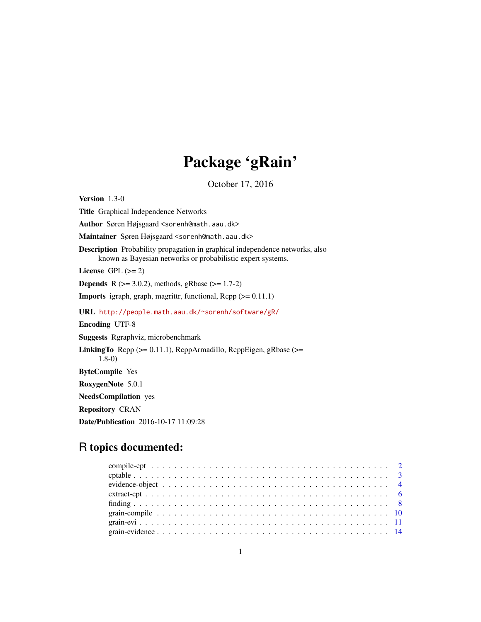# Package 'gRain'

October 17, 2016

<span id="page-0-0"></span>Version 1.3-0 Title Graphical Independence Networks Author Søren Højsgaard <sorenh@math.aau.dk> Maintainer Søren Højsgaard <sorenh@math.aau.dk> Description Probability propagation in graphical independence networks, also known as Bayesian networks or probabilistic expert systems. License GPL  $(>= 2)$ **Depends** R ( $>= 3.0.2$ ), methods, gRbase ( $>= 1.7-2$ ) **Imports** igraph, graph, magrittr, functional,  $\text{Rcpp} (> = 0.11.1)$ URL <http://people.math.aau.dk/~sorenh/software/gR/> Encoding UTF-8 Suggests Rgraphviz, microbenchmark LinkingTo Rcpp (>= 0.11.1), RcppArmadillo, RcppEigen, gRbase (>= 1.8-0) ByteCompile Yes RoxygenNote 5.0.1 NeedsCompilation yes Repository CRAN Date/Publication 2016-10-17 11:09:28

# R topics documented: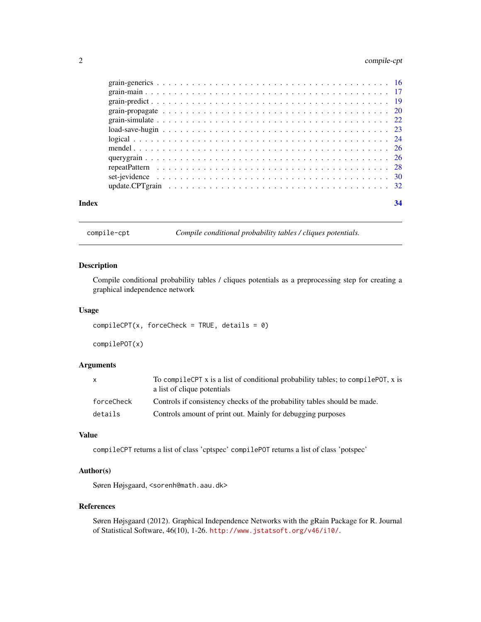# <span id="page-1-0"></span>2 compile-cpt

| Index | 34 |
|-------|----|
|       |    |
|       |    |
|       |    |
|       |    |
|       |    |
|       |    |
|       |    |
|       |    |
|       |    |
|       |    |
|       |    |
|       |    |

compile-cpt *Compile conditional probability tables / cliques potentials.*

# <span id="page-1-1"></span>Description

Compile conditional probability tables / cliques potentials as a preprocessing step for creating a graphical independence network

### Usage

```
completePT(x, forceCheck = TRUE, details = 0)
```
compilePOT(x)

# Arguments

| $\mathsf{x}$ | To compile CPT x is a list of conditional probability tables; to compile POT, x is<br>a list of clique potentials |
|--------------|-------------------------------------------------------------------------------------------------------------------|
| forceCheck   | Controls if consistency checks of the probability tables should be made.                                          |
| details      | Controls amount of print out. Mainly for debugging purposes                                                       |

### Value

compileCPT returns a list of class 'cptspec' compilePOT returns a list of class 'potspec'

# Author(s)

Søren Højsgaard, <sorenh@math.aau.dk>

## References

Søren Højsgaard (2012). Graphical Independence Networks with the gRain Package for R. Journal of Statistical Software, 46(10), 1-26. <http://www.jstatsoft.org/v46/i10/>.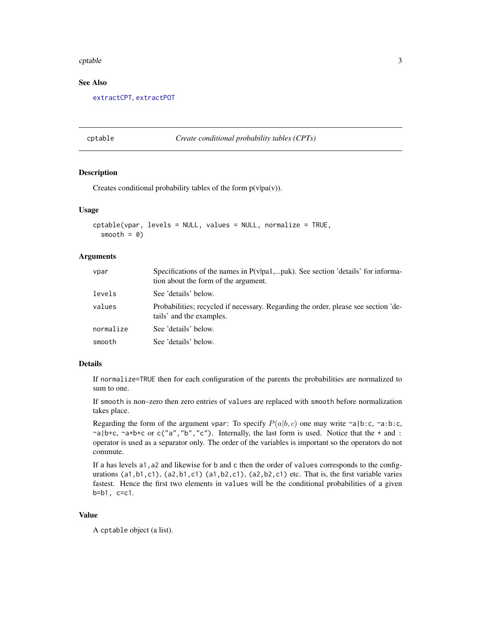#### <span id="page-2-0"></span>cptable 3

# See Also

[extractCPT](#page-5-1), [extractPOT](#page-5-1)

<span id="page-2-1"></span>

cptable *Create conditional probability tables (CPTs)*

# Description

Creates conditional probability tables of the form  $p(v|pa(v))$ .

#### Usage

```
cptable(vpar, levels = NULL, values = NULL, normalize = TRUE,
  smooth = 0)
```
# **Arguments**

| vpar      | Specifications of the names in $P(v pa1,pak)$ . See section 'details' for informa-<br>tion about the form of the argument. |
|-----------|----------------------------------------------------------------------------------------------------------------------------|
| levels    | See 'details' below.                                                                                                       |
| values    | Probabilities; recycled if necessary. Regarding the order, please see section 'de-<br>tails' and the examples.             |
| normalize | See 'details' below.                                                                                                       |
| smooth    | See 'details' below.                                                                                                       |

# Details

If normalize=TRUE then for each configuration of the parents the probabilities are normalized to sum to one.

If smooth is non–zero then zero entries of values are replaced with smooth before normalization takes place.

Regarding the form of the argument vpar: To specify  $P(a|b, c)$  one may write ~a|b:c, ~a:b:c,  $\alpha$ |b+c,  $\alpha$ a+b+c or c("a", "b", "c"). Internally, the last form is used. Notice that the + and : operator is used as a separator only. The order of the variables is important so the operators do not commute.

If a has levels a1,a2 and likewise for b and c then the order of values corresponds to the configurations  $(a1,b1,c1)$ ,  $(a2,b1,c1)$   $(a1,b2,c1)$ ,  $(a2,b2,c1)$  etc. That is, the first variable varies fastest. Hence the first two elements in values will be the conditional probabilities of a given b=b1, c=c1.

# Value

A cptable object (a list).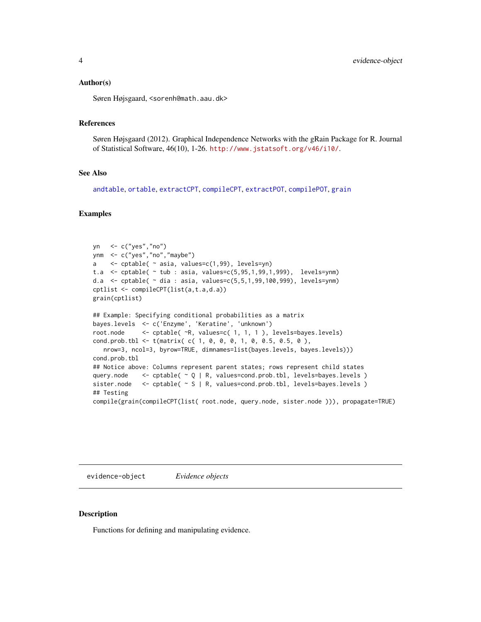#### <span id="page-3-0"></span>Author(s)

Søren Højsgaard, <sorenh@math.aau.dk>

# References

Søren Højsgaard (2012). Graphical Independence Networks with the gRain Package for R. Journal of Statistical Software, 46(10), 1-26. <http://www.jstatsoft.org/v46/i10/>.

# See Also

```
andtable, ortable, extractCPT, compileCPT, extractPOT, compilePOT, grain
```
#### Examples

```
yn <- c("yes","no")
ynm <- c("yes","no","maybe")
a <- cptable( ~ asia, values=c(1,99), levels=yn)
t.a <- cptable( ~ tub : asia, values=c(5,95,1,99,1,999), levels=ynm)
d.a <- cptable( ~ dia : asia, values=c(5,5,1,99,100,999), levels=ynm)
cptlist <- compileCPT(list(a,t.a,d.a))
grain(cptlist)
## Example: Specifying conditional probabilities as a matrix
bayes.levels <- c('Enzyme', 'Keratine', 'unknown')
root.node <- cptable( ~R, values=c( 1, 1, 1 ), levels=bayes.levels)
cond.prob.tbl <- t(matrix( c( 1, 0, 0, 0, 1, 0, 0.5, 0.5, 0 ),
  nrow=3, ncol=3, byrow=TRUE, dimnames=list(bayes.levels, bayes.levels)))
cond.prob.tbl
## Notice above: Columns represent parent states; rows represent child states
query.node \leq cptable(\sim Q | R, values=cond.prob.tbl, levels=bayes.levels )
sister.node <- cptable( ~ S | R, values=cond.prob.tbl, levels=bayes.levels )
## Testing
compile(grain(compileCPT(list( root.node, query.node, sister.node ))), propagate=TRUE)
```
evidence-object *Evidence objects*

#### **Description**

Functions for defining and manipulating evidence.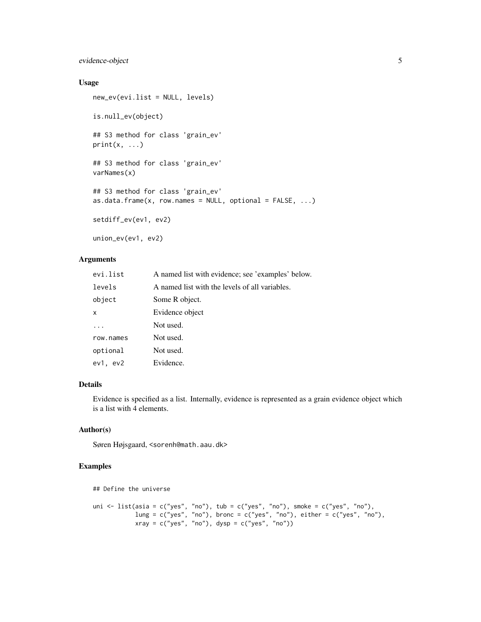# evidence-object 5

# Usage

```
new_ev(evi.list = NULL, levels)
is.null_ev(object)
## S3 method for class 'grain_ev'
print(x, \ldots)## S3 method for class 'grain_ev'
varNames(x)
## S3 method for class 'grain_ev'
as.data.frame(x, row.name = NULL, optional = FALSE, ...)setdiff_ev(ev1, ev2)
union_ev(ev1, ev2)
```
# Arguments

| evi.list  | A named list with evidence; see 'examples' below. |
|-----------|---------------------------------------------------|
| levels    | A named list with the levels of all variables.    |
| object    | Some R object.                                    |
| x         | Evidence object                                   |
| $\ddots$  | Not used.                                         |
| row.names | Not used.                                         |
| optional  | Not used.                                         |
| ev1, ev2  | Evidence.                                         |

# Details

Evidence is specified as a list. Internally, evidence is represented as a grain evidence object which is a list with 4 elements.

# Author(s)

Søren Højsgaard, <sorenh@math.aau.dk>

```
## Define the universe
uni <- list(asia = c("yes", "no"), tub = c("yes", "no"), smoke = c("yes", "no"),
            lung = c("yes", "no"), bronc = c("yes", "no"), either = c("yes", "no"),
            xray = c("yes", "no"), dysp = c("yes", "no"))
```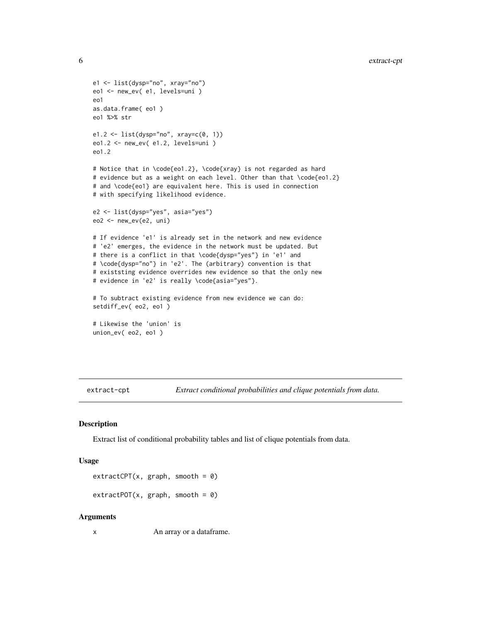```
e1 <- list(dysp="no", xray="no")
eo1 <- new_ev( e1, levels=uni )
eo1
as.data.frame( eo1 )
eo1 %>% str
e1.2 <- list(dysp="no", xray=c(0, 1))
eo1.2 <- new_ev( e1.2, levels=uni )
eo1.2
# Notice that in \code{eo1.2}, \code{xray} is not regarded as hard
# evidence but as a weight on each level. Other than that \code{eo1.2}
# and \code{eo1} are equivalent here. This is used in connection
# with specifying likelihood evidence.
e2 <- list(dysp="yes", asia="yes")
eo2 <- new_ev(e2, uni)
# If evidence 'e1' is already set in the network and new evidence
# 'e2' emerges, the evidence in the network must be updated. But
# there is a conflict in that \code{dysp="yes"} in 'e1' and
# \code{dysp="no"} in 'e2'. The (arbitrary) convention is that
# existsting evidence overrides new evidence so that the only new
# evidence in 'e2' is really \code{asia="yes"}.
# To subtract existing evidence from new evidence we can do:
setdiff_ev( eo2, eo1 )
# Likewise the 'union' is
union_ev( eo2, eo1 )
```
extract-cpt *Extract conditional probabilities and clique potentials from data.*

#### <span id="page-5-1"></span>Description

Extract list of conditional probability tables and list of clique potentials from data.

#### Usage

```
extractCPT(x, graph, smooth = 0)
```

```
extractPOT(x, graph, smooth = 0)
```
#### Arguments

x An array or a dataframe.

<span id="page-5-0"></span>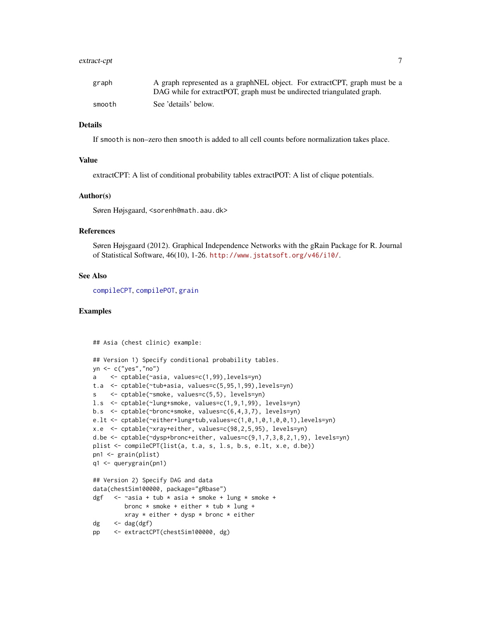#### <span id="page-6-0"></span>extract-cpt 7

| graph  | A graph represented as a graph NEL object. For extract CPT, graph must be a |
|--------|-----------------------------------------------------------------------------|
|        | DAG while for extract POT, graph must be undirected triangulated graph.     |
| smooth | See 'details' below.                                                        |

# Details

If smooth is non–zero then smooth is added to all cell counts before normalization takes place.

# Value

extractCPT: A list of conditional probability tables extractPOT: A list of clique potentials.

#### Author(s)

Søren Højsgaard, <sorenh@math.aau.dk>

#### References

Søren Højsgaard (2012). Graphical Independence Networks with the gRain Package for R. Journal of Statistical Software, 46(10), 1-26. <http://www.jstatsoft.org/v46/i10/>.

#### See Also

[compileCPT](#page-1-1), [compilePOT](#page-1-1), [grain](#page-16-1)

#### Examples

## Asia (chest clinic) example:

```
## Version 1) Specify conditional probability tables.
yn <- c("yes","no")
a <- cptable(~asia, values=c(1,99),levels=yn)
t.a <- cptable(~tub+asia, values=c(5,95,1,99),levels=yn)
s <- cptable(~smoke, values=c(5,5), levels=yn)
l.s <- cptable(~lung+smoke, values=c(1,9,1,99), levels=yn)
b.s <- cptable(~bronc+smoke, values=c(6,4,3,7), levels=yn)
e.lt <- cptable(~either+lung+tub,values=c(1,0,1,0,1,0,0,1),levels=yn)
x.e <- cptable(~xray+either, values=c(98,2,5,95), levels=yn)
d.be <- cptable(~dysp+bronc+either, values=c(9,1,7,3,8,2,1,9), levels=yn)
plist <- compileCPT(list(a, t.a, s, l.s, b.s, e.lt, x.e, d.be))
pn1 <- grain(plist)
q1 <- querygrain(pn1)
## Version 2) Specify DAG and data
data(chestSim100000, package="gRbase")
dgf \leftarrow ~asia + tub * asia + smoke + lung * smoke +
        bronc * smoke + either * tub * lung +
        xray * either + dysp * bronc * either
dg \leq -\text{dag}(dgf)pp <- extractCPT(chestSim100000, dg)
```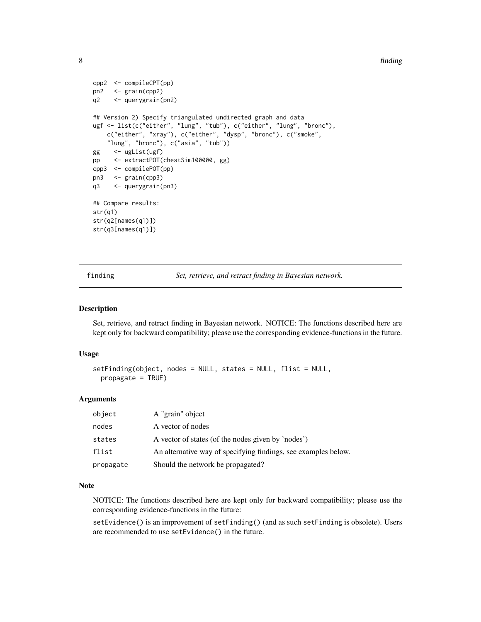<span id="page-7-0"></span>8 finding the state of the contract of the contract of the contract of the contract of the contract of the contract of the contract of the contract of the contract of the contract of the contract of the contract of the con

```
cpp2 <- compileCPT(pp)
pn2 <- grain(cpp2)
q2 <- querygrain(pn2)
## Version 2) Specify triangulated undirected graph and data
ugf <- list(c("either", "lung", "tub"), c("either", "lung", "bronc"),
   c("either", "xray"), c("either", "dysp", "bronc"), c("smoke",
   "lung", "bronc"), c("asia", "tub"))
gg <- ugList(ugf)
pp <- extractPOT(chestSim100000, gg)
cpp3 <- compilePOT(pp)
pn3 <- grain(cpp3)
q3 <- querygrain(pn3)
## Compare results:
str(q1)
str(q2[names(q1)])
str(q3[names(q1)])
```
finding *Set, retrieve, and retract finding in Bayesian network.*

#### <span id="page-7-1"></span>Description

Set, retrieve, and retract finding in Bayesian network. NOTICE: The functions described here are kept only for backward compatibility; please use the corresponding evidence-functions in the future.

#### Usage

```
setFinding(object, nodes = NULL, states = NULL, flist = NULL,
  propagate = TRUE)
```
#### Arguments

| object    | A "grain" object                                               |
|-----------|----------------------------------------------------------------|
| nodes     | A vector of nodes                                              |
| states    | A vector of states (of the nodes given by 'nodes')             |
| flist     | An alternative way of specifying findings, see examples below. |
| propagate | Should the network be propagated?                              |

#### Note

NOTICE: The functions described here are kept only for backward compatibility; please use the corresponding evidence-functions in the future:

setEvidence() is an improvement of setFinding() (and as such setFinding is obsolete). Users are recommended to use setEvidence() in the future.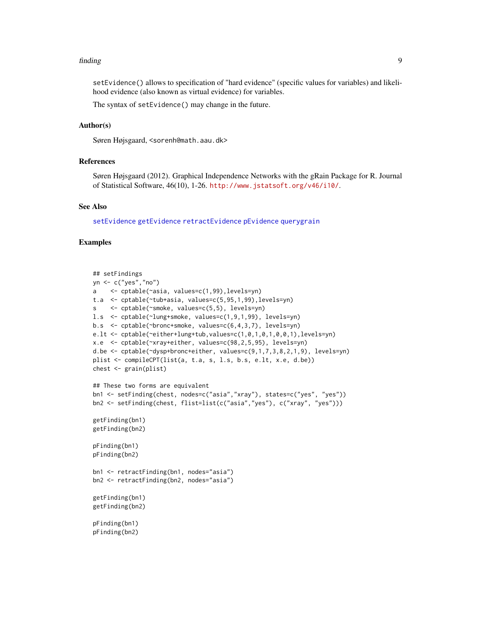#### <span id="page-8-0"></span>finding 9

setEvidence() allows to specification of "hard evidence" (specific values for variables) and likelihood evidence (also known as virtual evidence) for variables.

The syntax of setEvidence() may change in the future.

# Author(s)

Søren Højsgaard, <sorenh@math.aau.dk>

#### References

Søren Højsgaard (2012). Graphical Independence Networks with the gRain Package for R. Journal of Statistical Software, 46(10), 1-26. <http://www.jstatsoft.org/v46/i10/>.

# See Also

[setEvidence](#page-13-1) [getEvidence](#page-10-1) [retractEvidence](#page-13-1) [pEvidence](#page-10-1) [querygrain](#page-25-1)

```
## setFindings
yn <- c("yes","no")
a <- cptable(~asia, values=c(1,99),levels=yn)
t.a <- cptable(~tub+asia, values=c(5,95,1,99),levels=yn)
s <- cptable(~smoke, values=c(5,5), levels=yn)
l.s <- cptable(~lung+smoke, values=c(1,9,1,99), levels=yn)
b.s <- cptable(~bronc+smoke, values=c(6,4,3,7), levels=yn)
e.lt \le cptable(\leither+lung+tub, values=c(1,0,1,0,1,0,0,1), levels=yn)
x.e <- cptable(~xray+either, values=c(98,2,5,95), levels=yn)
d.be <- cptable(~dysp+bronc+either, values=c(9,1,7,3,8,2,1,9), levels=yn)
plist <- compileCPT(list(a, t.a, s, l.s, b.s, e.lt, x.e, d.be))
chest <- grain(plist)
## These two forms are equivalent
bn1 <- setFinding(chest, nodes=c("asia","xray"), states=c("yes", "yes"))
bn2 <- setFinding(chest, flist=list(c("asia","yes"), c("xray", "yes")))
getFinding(bn1)
getFinding(bn2)
pFinding(bn1)
pFinding(bn2)
bn1 <- retractFinding(bn1, nodes="asia")
bn2 <- retractFinding(bn2, nodes="asia")
getFinding(bn1)
getFinding(bn2)
pFinding(bn1)
pFinding(bn2)
```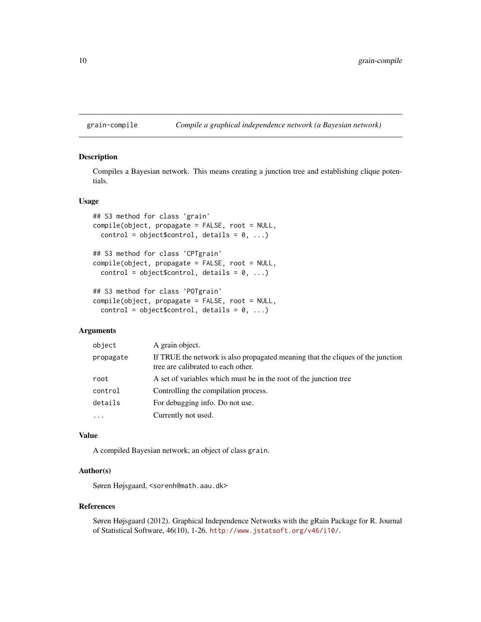# <span id="page-9-0"></span>grain-compile *Compile a graphical independence network (a Bayesian network)*

# <span id="page-9-1"></span>Description

Compiles a Bayesian network. This means creating a junction tree and establishing clique potentials.

#### Usage

```
## S3 method for class 'grain'
compile(object, propagate = FALSE, root = NULL,control = object$control, details = 0, ...)
## S3 method for class 'CPTgrain'
compile(object, propagate = FALSE, root = NULL,
 control = object$control, details = 0, ...)
## S3 method for class 'POTgrain'
```

```
compile(object, propagate = FALSE, root = NULL,
 control = object$control, details = 0, ...)
```
# Arguments

| object     | A grain object.                                                                                                       |
|------------|-----------------------------------------------------------------------------------------------------------------------|
| propagate  | If TRUE the network is also propagated meaning that the cliques of the junction<br>tree are calibrated to each other. |
| root       | A set of variables which must be in the root of the junction tree                                                     |
| control    | Controlling the compilation process.                                                                                  |
| details    | For debugging info. Do not use.                                                                                       |
| $\ddots$ . | Currently not used.                                                                                                   |

### Value

A compiled Bayesian network; an object of class grain.

# Author(s)

Søren Højsgaard, <sorenh@math.aau.dk>

# References

Søren Højsgaard (2012). Graphical Independence Networks with the gRain Package for R. Journal of Statistical Software, 46(10), 1-26. <http://www.jstatsoft.org/v46/i10/>.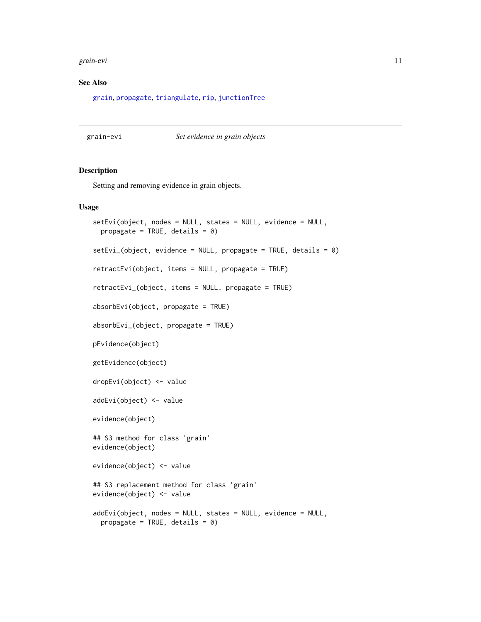#### <span id="page-10-0"></span>grain-evi 11

# See Also

[grain](#page-16-1), [propagate](#page-0-0), [triangulate](#page-0-0), [rip](#page-0-0), [junctionTree](#page-0-0)

grain-evi *Set evidence in grain objects*

# <span id="page-10-1"></span>Description

Setting and removing evidence in grain objects.

# Usage

```
setEvi(object, nodes = NULL, states = NULL, evidence = NULL,
 propagate = TRUE, details = 0)
setEvi_(object, evidence = NULL, propagate = TRUE, details = 0)
retractEvi(object, items = NULL, propagate = TRUE)
retractEvi_(object, items = NULL, propagate = TRUE)
absorbEvi(object, propagate = TRUE)
absorbEvi_(object, propagate = TRUE)
pEvidence(object)
getEvidence(object)
dropEvi(object) <- value
addEvi(object) <- value
evidence(object)
## S3 method for class 'grain'
evidence(object)
evidence(object) <- value
## S3 replacement method for class 'grain'
evidence(object) <- value
addEvi(object, nodes = NULL, states = NULL, evidence = NULL,
 propagate = TRUE, details = 0)
```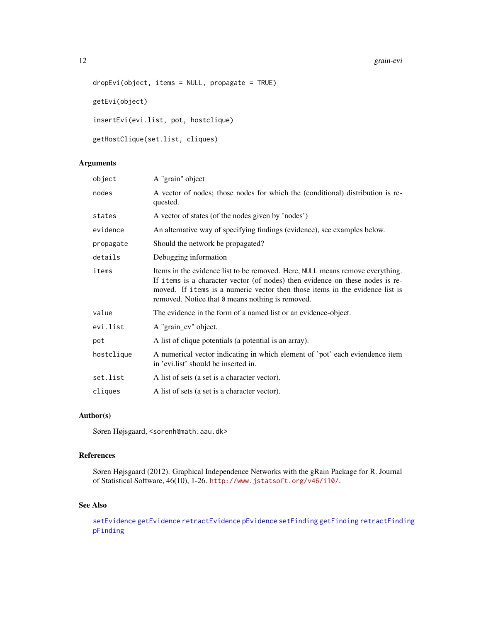#### <span id="page-11-0"></span>12 grain-evi

```
dropEvi(object, items = NULL, propagate = TRUE)
getEvi(object)
insertEvi(evi.list, pot, hostclique)
getHostClique(set.list, cliques)
```
# Arguments

| object     | A "grain" object                                                                                                                                                                                                                                                                                   |
|------------|----------------------------------------------------------------------------------------------------------------------------------------------------------------------------------------------------------------------------------------------------------------------------------------------------|
| nodes      | A vector of nodes; those nodes for which the (conditional) distribution is re-<br>quested.                                                                                                                                                                                                         |
| states     | A vector of states (of the nodes given by 'nodes')                                                                                                                                                                                                                                                 |
| evidence   | An alternative way of specifying findings (evidence), see examples below.                                                                                                                                                                                                                          |
| propagate  | Should the network be propagated?                                                                                                                                                                                                                                                                  |
| details    | Debugging information                                                                                                                                                                                                                                                                              |
| items      | Items in the evidence list to be removed. Here, NULL means remove everything.<br>If items is a character vector (of nodes) then evidence on these nodes is re-<br>moved. If items is a numeric vector then those items in the evidence list is<br>removed. Notice that 0 means nothing is removed. |
| value      | The evidence in the form of a named list or an evidence-object.                                                                                                                                                                                                                                    |
| evi.list   | A "grain_ev" object.                                                                                                                                                                                                                                                                               |
| pot        | A list of clique potentials (a potential is an array).                                                                                                                                                                                                                                             |
| hostclique | A numerical vector indicating in which element of 'pot' each eviendence item<br>in 'evi.list' should be inserted in.                                                                                                                                                                               |
| set.list   | A list of sets (a set is a character vector).                                                                                                                                                                                                                                                      |
| cliques    | A list of sets (a set is a character vector).                                                                                                                                                                                                                                                      |

# Author(s)

Søren Højsgaard, <sorenh@math.aau.dk>

# References

Søren Højsgaard (2012). Graphical Independence Networks with the gRain Package for R. Journal of Statistical Software, 46(10), 1-26. <http://www.jstatsoft.org/v46/i10/>.

# See Also

[setEvidence](#page-13-1) [getEvidence](#page-10-1) [retractEvidence](#page-13-1) [pEvidence](#page-10-1) [setFinding](#page-7-1) [getFinding](#page-7-1) [retractFinding](#page-7-1) [pFinding](#page-7-1)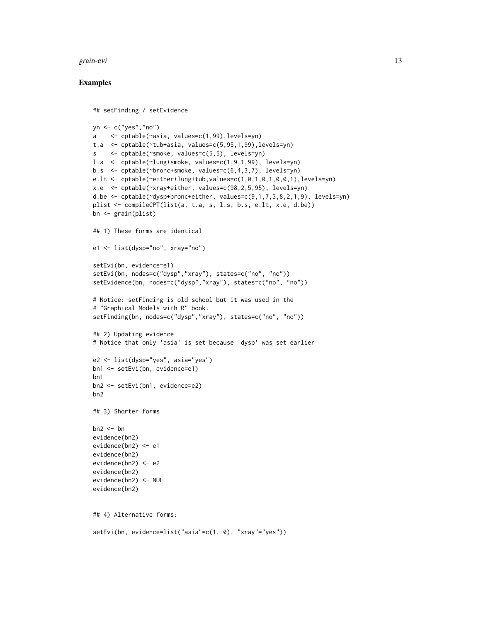#### grain-evi 13

```
## setFinding / setEvidence
yn <- c("yes","no")
a <- cptable(~asia, values=c(1,99),levels=yn)
t.a <- cptable(~tub+asia, values=c(5,95,1,99),levels=yn)
s <- cptable(~smoke, values=c(5,5), levels=yn)
l.s <- cptable(~lung+smoke, values=c(1,9,1,99), levels=yn)
b.s <- cptable(~bronc+smoke, values=c(6,4,3,7), levels=yn)
e.lt <- cptable(~either+lung+tub,values=c(1,0,1,0,1,0,0,1),levels=yn)
x.e <- cptable(~xray+either, values=c(98,2,5,95), levels=yn)
d.be <- cptable(~dysp+bronc+either, values=c(9,1,7,3,8,2,1,9), levels=yn)
plist <- compileCPT(list(a, t.a, s, l.s, b.s, e.lt, x.e, d.be))
bn <- grain(plist)
## 1) These forms are identical
e1 <- list(dysp="no", xray="no")
setEvi(bn, evidence=e1)
setEvi(bn, nodes=c("dysp","xray"), states=c("no", "no"))
setEvidence(bn, nodes=c("dysp","xray"), states=c("no", "no"))
# Notice: setFinding is old school but it was used in the
# "Graphical Models with R" book.
setFinding(bn, nodes=c("dysp","xray"), states=c("no", "no"))
## 2) Updating evidence
# Notice that only 'asia' is set because 'dysp' was set earlier
e2 <- list(dysp="yes", asia="yes")
bn1 <- setEvi(bn, evidence=e1)
bn1
bn2 <- setEvi(bn1, evidence=e2)
bn2
## 3) Shorter forms
bn2 < - bnevidence(bn2)
evidence(bn2) <- e1
evidence(bn2)
evidence(bn2) <- e2
evidence(bn2)
evidence(bn2) <- NULL
evidence(bn2)
## 4) Alternative forms:
setEvi(bn, evidence=list("asia"=c(1, 0), "xray"="yes"))
```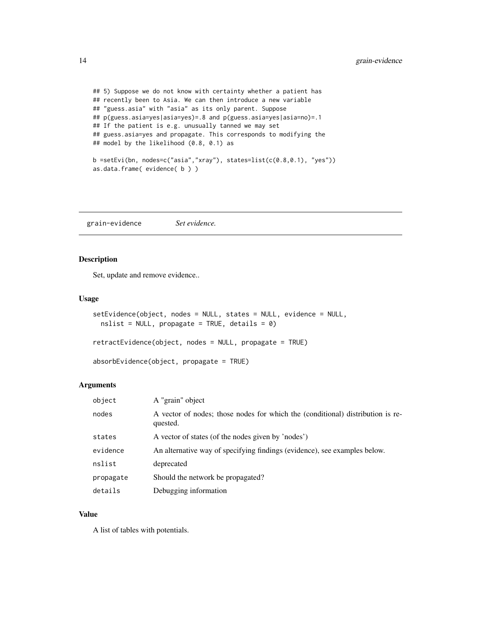```
## 5) Suppose we do not know with certainty whether a patient has
## recently been to Asia. We can then introduce a new variable
## "guess.asia" with "asia" as its only parent. Suppose
## p(guess.asia=yes|asia=yes)=.8 and p(guess.asia=yes|asia=no)=.1
## If the patient is e.g. unusually tanned we may set
## guess.asia=yes and propagate. This corresponds to modifying the
## model by the likelihood (0.8, 0.1) as
b =setEvi(bn, nodes=c("asia","xray"), states=list(c(0.8, 0.1), "yes"))as.data.frame( evidence( b ) )
```
grain-evidence *Set evidence.*

# <span id="page-13-1"></span>Description

Set, update and remove evidence..

#### Usage

```
setEvidence(object, nodes = NULL, states = NULL, evidence = NULL,
 nslist = NULL, propagate = TRUE, details = 0)
```
retractEvidence(object, nodes = NULL, propagate = TRUE)

absorbEvidence(object, propagate = TRUE)

#### Arguments

| object    | A "grain" object                                                                           |
|-----------|--------------------------------------------------------------------------------------------|
| nodes     | A vector of nodes; those nodes for which the (conditional) distribution is re-<br>quested. |
| states    | A vector of states (of the nodes given by 'nodes')                                         |
| evidence  | An alternative way of specifying findings (evidence), see examples below.                  |
| nslist    | deprecated                                                                                 |
| propagate | Should the network be propagated?                                                          |
| details   | Debugging information                                                                      |

# Value

A list of tables with potentials.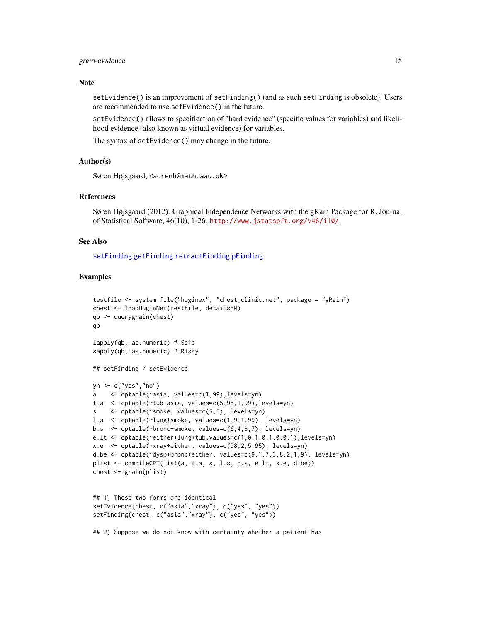#### <span id="page-14-0"></span>grain-evidence 15

#### Note

setEvidence() is an improvement of setFinding() (and as such setFinding is obsolete). Users are recommended to use setEvidence() in the future.

setEvidence() allows to specification of "hard evidence" (specific values for variables) and likelihood evidence (also known as virtual evidence) for variables.

The syntax of setEvidence() may change in the future.

#### Author(s)

Søren Højsgaard, <sorenh@math.aau.dk>

#### References

Søren Højsgaard (2012). Graphical Independence Networks with the gRain Package for R. Journal of Statistical Software, 46(10), 1-26. <http://www.jstatsoft.org/v46/i10/>.

# See Also

[setFinding](#page-7-1) [getFinding](#page-7-1) [retractFinding](#page-7-1) [pFinding](#page-7-1)

# Examples

```
testfile <- system.file("huginex", "chest_clinic.net", package = "gRain")
chest <- loadHuginNet(testfile, details=0)
qb <- querygrain(chest)
qb
lapply(qb, as.numeric) # Safe
sapply(qb, as.numeric) # Risky
## setFinding / setEvidence
yn <- c("yes","no")
a <- cptable(~asia, values=c(1,99),levels=yn)
t.a <- cptable(~tub+asia, values=c(5,95,1,99),levels=yn)
s <- cptable(~smoke, values=c(5,5), levels=yn)
l.s <- cptable(~lung+smoke, values=c(1,9,1,99), levels=yn)
b.s <- cptable(~bronc+smoke, values=c(6,4,3,7), levels=yn)
e.lt <- cptable(~either+lung+tub,values=c(1,0,1,0,1,0,0,1),levels=yn)
x.e <- cptable(~xray+either, values=c(98,2,5,95), levels=yn)
d.be <- cptable(~dysp+bronc+either, values=c(9,1,7,3,8,2,1,9), levels=yn)
plist <- compileCPT(list(a, t.a, s, l.s, b.s, e.lt, x.e, d.be))
chest <- grain(plist)
## 1) These two forms are identical
setEvidence(chest, c("asia","xray"), c("yes", "yes"))
setFinding(chest, c("asia","xray"), c("yes", "yes"))
```
## 2) Suppose we do not know with certainty whether a patient has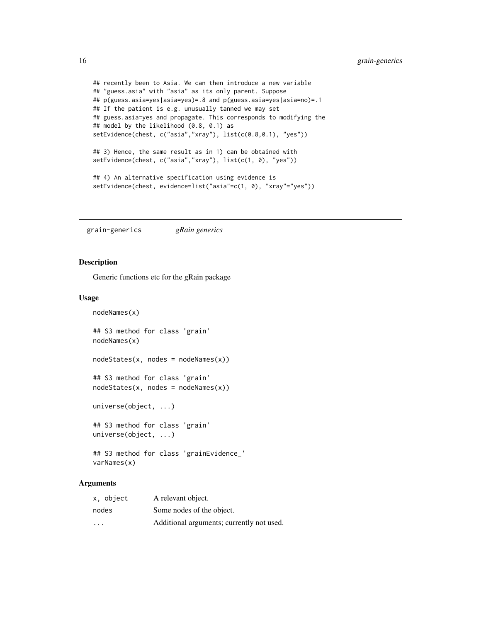```
## recently been to Asia. We can then introduce a new variable
## "guess.asia" with "asia" as its only parent. Suppose
## p(guess.asia=yes|asia=yes)=.8 and p(guess.asia=yes|asia=no)=.1
## If the patient is e.g. unusually tanned we may set
## guess.asia=yes and propagate. This corresponds to modifying the
## model by the likelihood (0.8, 0.1) as
setEvidence(chest, c("asia","xray"), list(c(0.8,0.1), "yes"))
## 3) Hence, the same result as in 1) can be obtained with
setEvidence(chest, c("asia","xray"), list(c(1, 0), "yes"))
## 4) An alternative specification using evidence is
setEvidence(chest, evidence=list("asia"=c(1, 0), "xray"="yes"))
```
grain-generics *gRain generics*

#### Description

nodeNames(x)

Generic functions etc for the gRain package

#### Usage

```
## S3 method for class 'grain'
nodeNames(x)
nodes\t = nodeNames(x)## S3 method for class 'grain'
nodes\t{rates}(x, nodes = nodeNames(x))
universe(object, ...)
## S3 method for class 'grain'
universe(object, ...)
## S3 method for class 'grainEvidence_'
varNames(x)
```
# Arguments

| x, object               | A relevant object.                        |
|-------------------------|-------------------------------------------|
| nodes                   | Some nodes of the object.                 |
| $\cdot$ $\cdot$ $\cdot$ | Additional arguments; currently not used. |

<span id="page-15-0"></span>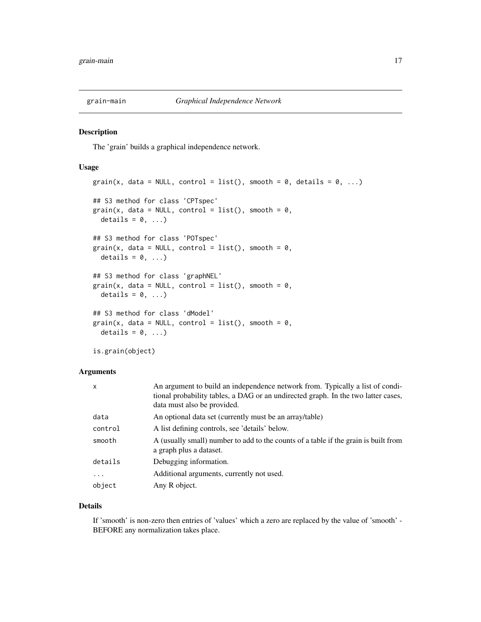<span id="page-16-0"></span>

#### <span id="page-16-1"></span>Description

The 'grain' builds a graphical independence network.

#### Usage

```
grain(x, data = NULL, control = list(), smooth = 0, details = 0, ...)
## S3 method for class 'CPTspec'
grain(x, data = NULL, control = list(), smooth = 0,details = 0, \ldots)
## S3 method for class 'POTspec'
grain(x, data = NULL, control = list(), smooth = 0,details = 0, \ldots)
## S3 method for class 'graphNEL'
grain(x, data = NULL, control = list(), smooth = 0,details = 0, \ldots)
## S3 method for class 'dModel'
grain(x, data = NULL, control = list(), smooth = 0,details = 0, ...)
is.grain(object)
```
#### Arguments

| $\mathsf{x}$ | An argument to build an independence network from. Typically a list of condi-<br>tional probability tables, a DAG or an undirected graph. In the two latter cases,<br>data must also be provided. |
|--------------|---------------------------------------------------------------------------------------------------------------------------------------------------------------------------------------------------|
| data         | An optional data set (currently must be an array/table)                                                                                                                                           |
| control      | A list defining controls, see 'details' below.                                                                                                                                                    |
| smooth       | A (usually small) number to add to the counts of a table if the grain is built from<br>a graph plus a dataset.                                                                                    |
| details      | Debugging information.                                                                                                                                                                            |
| $\cdots$     | Additional arguments, currently not used.                                                                                                                                                         |
| object       | Any R object.                                                                                                                                                                                     |

# Details

If 'smooth' is non-zero then entries of 'values' which a zero are replaced by the value of 'smooth' - BEFORE any normalization takes place.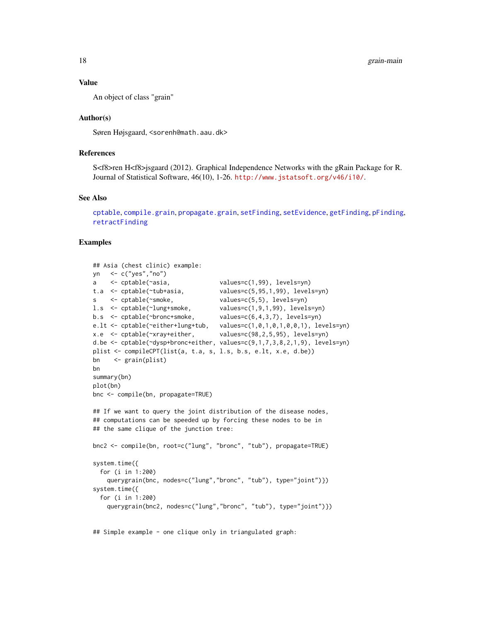#### <span id="page-17-0"></span>Value

An object of class "grain"

#### Author(s)

Søren Højsgaard, <sorenh@math.aau.dk>

#### References

S<f8>ren H<f8>jsgaard (2012). Graphical Independence Networks with the gRain Package for R. Journal of Statistical Software, 46(10), 1-26. <http://www.jstatsoft.org/v46/i10/>.

#### See Also

```
cptable, compile.grain, propagate.grain, setFinding, setEvidence, getFinding, pFinding,
retractFinding
```
#### Examples

```
## Asia (chest clinic) example:
yn <- c("yes","no")
a <- cptable(~asia, values=c(1,99), levels=yn)
t.a <- cptable(~tub+asia, values=c(5,95,1,99), levels=yn)
s <- cptable(~smoke, values=c(5,5), levels=yn)
l.s <- cptable(~lung+smoke, values=c(1,9,1,99), levels=yn)
b.s \le cptable(\simbronc+smoke, values=c(6,4,3,7), levels=yn)
e.lt <- cptable(~either+lung+tub, values=c(1,0,1,0,1,0,0,1), levels=yn)
x.e <- cptable(~xray+either, values=c(98,2,5,95), levels=yn)
d.be <- cptable(~dysp+bronc+either, values=c(9,1,7,3,8,2,1,9), levels=yn)
plist <- compileCPT(list(a, t.a, s, l.s, b.s, e.lt, x.e, d.be))
bn <- grain(plist)
bn
summary(bn)
plot(bn)
bnc <- compile(bn, propagate=TRUE)
## If we want to query the joint distribution of the disease nodes,
## computations can be speeded up by forcing these nodes to be in
## the same clique of the junction tree:
bnc2 <- compile(bn, root=c("lung", "bronc", "tub"), propagate=TRUE)
system.time({
 for (i in 1:200)
   querygrain(bnc, nodes=c("lung","bronc", "tub"), type="joint")})
system.time({
 for (i in 1:200)
   querygrain(bnc2, nodes=c("lung","bronc", "tub"), type="joint")})
```
## Simple example - one clique only in triangulated graph: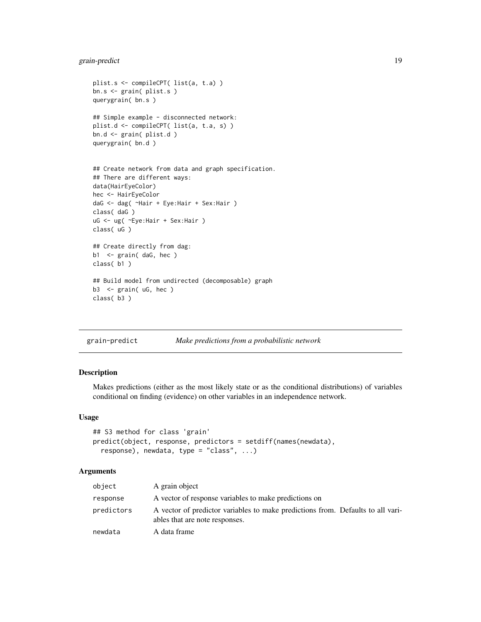# <span id="page-18-0"></span>grain-predict 19

```
plist.s <- compileCPT( list(a, t.a) )
bn.s <- grain( plist.s )
querygrain( bn.s )
## Simple example - disconnected network:
plist.d <- compileCPT( list(a, t.a, s) )
bn.d <- grain( plist.d )
querygrain( bn.d )
## Create network from data and graph specification.
## There are different ways:
data(HairEyeColor)
hec <- HairEyeColor
daG <- dag( ~Hair + Eye:Hair + Sex:Hair )
class( daG )
uG <- ug( ~Eye:Hair + Sex:Hair )
class( uG )
## Create directly from dag:
b1 <- grain( daG, hec )
class( b1 )
## Build model from undirected (decomposable) graph
b3 <- grain( uG, hec )
class( b3 )
```
grain-predict *Make predictions from a probabilistic network*

#### Description

Makes predictions (either as the most likely state or as the conditional distributions) of variables conditional on finding (evidence) on other variables in an independence network.

#### Usage

```
## S3 method for class 'grain'
predict(object, response, predictors = setdiff(names(newdata),
  response), newdata, type = "class", ...)
```
# Arguments

| object     | A grain object                                                                                                    |
|------------|-------------------------------------------------------------------------------------------------------------------|
| response   | A vector of response variables to make predictions on                                                             |
| predictors | A vector of predictor variables to make predictions from. Defaults to all vari-<br>ables that are note responses. |
| newdata    | A data frame                                                                                                      |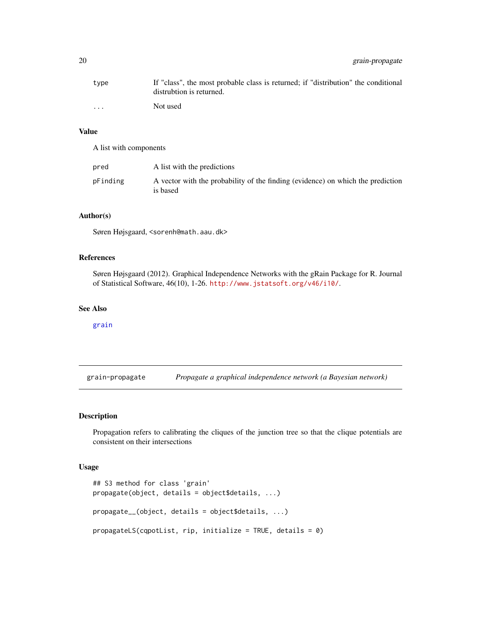<span id="page-19-0"></span>

| tvpe                    | If "class", the most probable class is returned; if "distribution" the conditional<br>distrubtion is returned. |
|-------------------------|----------------------------------------------------------------------------------------------------------------|
| $\cdot$ $\cdot$ $\cdot$ | Not used                                                                                                       |

# Value

A list with components

| pred     | A list with the predictions                                                                 |
|----------|---------------------------------------------------------------------------------------------|
| pFinding | A vector with the probability of the finding (evidence) on which the prediction<br>is based |

# Author(s)

Søren Højsgaard, <sorenh@math.aau.dk>

# References

Søren Højsgaard (2012). Graphical Independence Networks with the gRain Package for R. Journal of Statistical Software, 46(10), 1-26. <http://www.jstatsoft.org/v46/i10/>.

#### See Also

[grain](#page-16-1)

grain-propagate *Propagate a graphical independence network (a Bayesian network)*

### <span id="page-19-1"></span>Description

Propagation refers to calibrating the cliques of the junction tree so that the clique potentials are consistent on their intersections

# Usage

```
## S3 method for class 'grain'
propagate(object, details = object$details, ...)
propagate__(object, details = object$details, ...)
propagateLS(cqpotList, rip, initialize = TRUE, details = 0)
```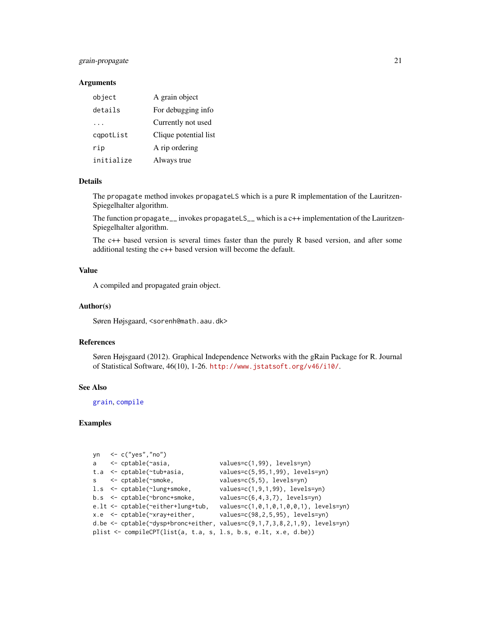# <span id="page-20-0"></span>grain-propagate 21

# Arguments

| object     | A grain object        |
|------------|-----------------------|
| details    | For debugging info    |
| .          | Currently not used    |
| capotList  | Clique potential list |
| rip        | A rip ordering        |
| initialize | Always true           |

# Details

The propagate method invokes propagateLS which is a pure R implementation of the Lauritzen-Spiegelhalter algorithm.

The function propagate\_\_ invokes propagateLS\_\_ which is a c++ implementation of the Lauritzen-Spiegelhalter algorithm.

The c++ based version is several times faster than the purely R based version, and after some additional testing the c++ based version will become the default.

# Value

A compiled and propagated grain object.

### Author(s)

Søren Højsgaard, <sorenh@math.aau.dk>

# References

Søren Højsgaard (2012). Graphical Independence Networks with the gRain Package for R. Journal of Statistical Software, 46(10), 1-26. <http://www.jstatsoft.org/v46/i10/>.

### See Also

[grain](#page-16-1), [compile](#page-0-0)

|  | yn $\leq$ c("yes","no")                                             |                                                                                      |
|--|---------------------------------------------------------------------|--------------------------------------------------------------------------------------|
|  | a $\leq$ cptable( $\sim$ asia,                                      | $values=c(1,99)$ , levels=yn)                                                        |
|  | $t.a \leq ctable(\text{tub+asia})$                                  | $values=c(5, 95, 1, 99)$ , levels=yn)                                                |
|  | $s \le$ - cptable( $\sim$ smoke,                                    | $values=c(5,5)$ , levels=yn)                                                         |
|  | 1.s <- cptable(~lung+smoke,                                         | $values=c(1,9,1,99)$ , levels=yn)                                                    |
|  | $b.s <$ - cptable(~bronc+smoke,                                     | $values=c(6,4,3,7)$ , levels=yn)                                                     |
|  | $e.lt \leq$ cptable( $\sim$ either+lung+tub,                        | $values=c(1,0,1,0,1,0,0,1)$ , levels=yn)                                             |
|  | $x.e$ $\le$ cptable( $\sim$ xray+either,                            | $values=c(98, 2, 5, 95)$ , levels=yn)                                                |
|  |                                                                     | d.be $\leq$ cptable( $\leq$ dysp+bronc+either, values=c(9,1,7,3,8,2,1,9), levels=yn) |
|  | plist $\leq$ compileCPT(list(a, t.a, s, l.s, b.s, e.lt, x.e, d.be)) |                                                                                      |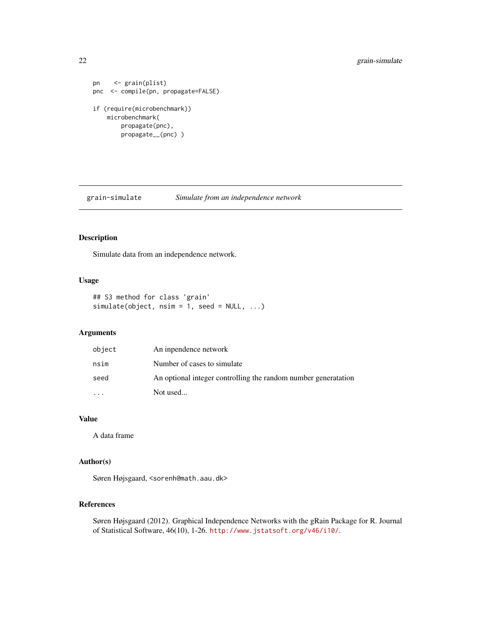```
pn <- grain(plist)
pnc <- compile(pn, propagate=FALSE)
if (require(microbenchmark))
   microbenchmark(
       propagate(pnc),
       propagate__(pnc) )
```
grain-simulate *Simulate from an independence network*

# Description

Simulate data from an independence network.

# Usage

```
## S3 method for class 'grain'
simulate(object, nsim = 1, seed = NULL, ...)
```
# Arguments

| object | An inpendence network                                          |
|--------|----------------------------------------------------------------|
| nsim   | Number of cases to simulate                                    |
| seed   | An optional integer controlling the random number generatation |
|        | Not used                                                       |

# Value

A data frame

# Author(s)

Søren Højsgaard, <sorenh@math.aau.dk>

# References

Søren Højsgaard (2012). Graphical Independence Networks with the gRain Package for R. Journal of Statistical Software, 46(10), 1-26. <http://www.jstatsoft.org/v46/i10/>.

<span id="page-21-0"></span>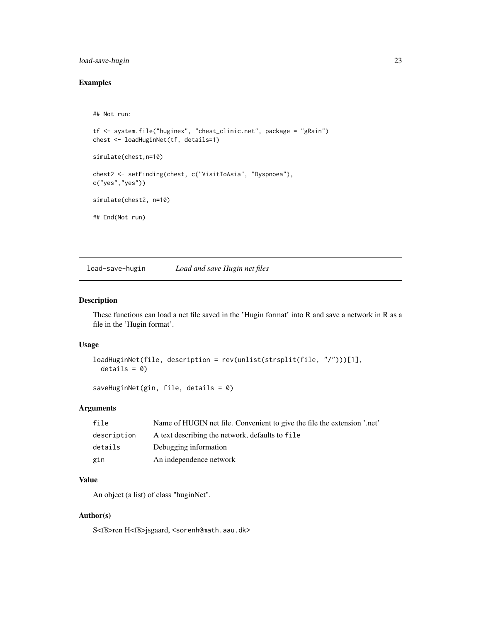# <span id="page-22-0"></span>load-save-hugin 23

# Examples

```
## Not run:
tf <- system.file("huginex", "chest_clinic.net", package = "gRain")
chest <- loadHuginNet(tf, details=1)
simulate(chest,n=10)
chest2 <- setFinding(chest, c("VisitToAsia", "Dyspnoea"),
c("yes","yes"))
simulate(chest2, n=10)
## End(Not run)
```
load-save-hugin *Load and save Hugin net files*

#### Description

These functions can load a net file saved in the 'Hugin format' into R and save a network in R as a file in the 'Hugin format'.

# Usage

```
loadHuginNet(file, description = rev(unlist(strsplit(file, "/")))[1],
 details = 0)
```
saveHuginNet(gin, file, details = 0)

## Arguments

| file        | Name of HUGIN net file. Convenient to give the file the extension '.net' |
|-------------|--------------------------------------------------------------------------|
| description | A text describing the network, defaults to file                          |
| details     | Debugging information                                                    |
| gin         | An independence network                                                  |

# Value

An object (a list) of class "huginNet".

# Author(s)

S<f8>ren H<f8>jsgaard, <sorenh@math.aau.dk>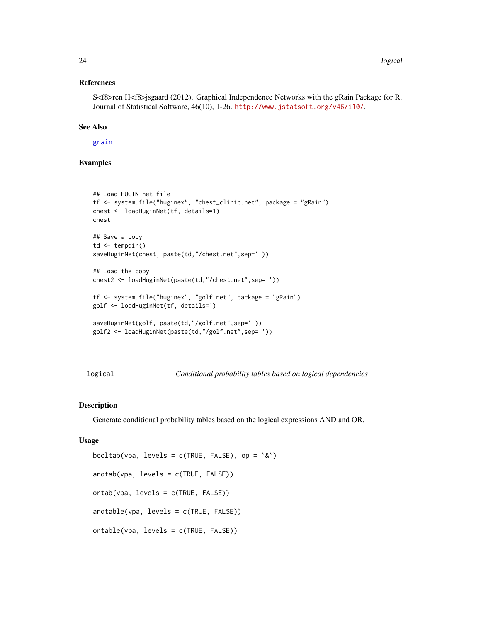#### <span id="page-23-0"></span>References

S<f8>ren H<f8>jsgaard (2012). Graphical Independence Networks with the gRain Package for R. Journal of Statistical Software, 46(10), 1-26. <http://www.jstatsoft.org/v46/i10/>.

#### See Also

[grain](#page-16-1)

# Examples

```
## Load HUGIN net file
tf <- system.file("huginex", "chest_clinic.net", package = "gRain")
chest <- loadHuginNet(tf, details=1)
chest
## Save a copy
td <- tempdir()
saveHuginNet(chest, paste(td,"/chest.net",sep=''))
## Load the copy
chest2 <- loadHuginNet(paste(td,"/chest.net",sep=''))
tf <- system.file("huginex", "golf.net", package = "gRain")
golf <- loadHuginNet(tf, details=1)
saveHuginNet(golf, paste(td,"/golf.net",sep=''))
golf2 <- loadHuginNet(paste(td,"/golf.net",sep=''))
```
logical *Conditional probability tables based on logical dependencies*

#### <span id="page-23-1"></span>Description

Generate conditional probability tables based on the logical expressions AND and OR.

#### Usage

```
booltab(vpa, levels = c(TRUE, FALSE), op = \&)
andtab(vpa, levels = c(TRUE, FALSE))
ortab(vpa, levels = c(TRUE, FALSE))
andtable(vpa, levels = c(TRUE, FALSE))
ortable(vpa, levels = c(TRUE, FALSE))
```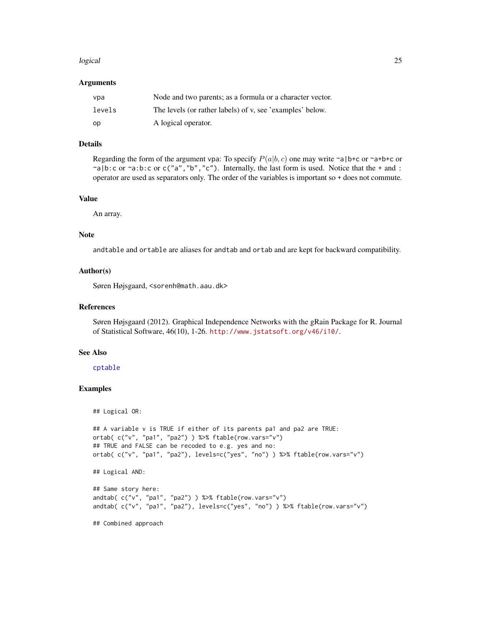#### <span id="page-24-0"></span>logical and the contract of the contract of the contract of the contract of the contract of the contract of the contract of the contract of the contract of the contract of the contract of the contract of the contract of th

#### Arguments

| vpa    | Node and two parents; as a formula or a character vector. |
|--------|-----------------------------------------------------------|
| levels | The levels (or rather labels) of v, see 'examples' below. |
| op     | A logical operator.                                       |

# Details

Regarding the form of the argument vpa: To specify  $P(a|b, c)$  one may write ~a|b+c or ~a+b+c or ~a|b:c or ~a:b:c or c("a","b","c"). Internally, the last form is used. Notice that the + and : operator are used as separators only. The order of the variables is important so + does not commute.

#### Value

An array.

#### Note

andtable and ortable are aliases for andtab and ortab and are kept for backward compatibility.

#### Author(s)

Søren Højsgaard, <sorenh@math.aau.dk>

#### References

Søren Højsgaard (2012). Graphical Independence Networks with the gRain Package for R. Journal of Statistical Software, 46(10), 1-26. <http://www.jstatsoft.org/v46/i10/>.

#### See Also

### [cptable](#page-2-1)

# Examples

```
## Logical OR:
```

```
## A variable v is TRUE if either of its parents pa1 and pa2 are TRUE:
ortab( c("v", "pa1", "pa2") ) %>% ftable(row.vars="v")
## TRUE and FALSE can be recoded to e.g. yes and no:
ortab( c("v", "pa1", "pa2"), levels=c("yes", "no") ) %>% ftable(row.vars="v")
```

```
## Logical AND:
```

```
## Same story here:
andtab( c("v", "pa1", "pa2") ) %>% ftable(row.vars="v")
andtab( c("v", "pa1", "pa2"), levels=c("yes", "no") ) %>% ftable(row.vars="v")
```
## Combined approach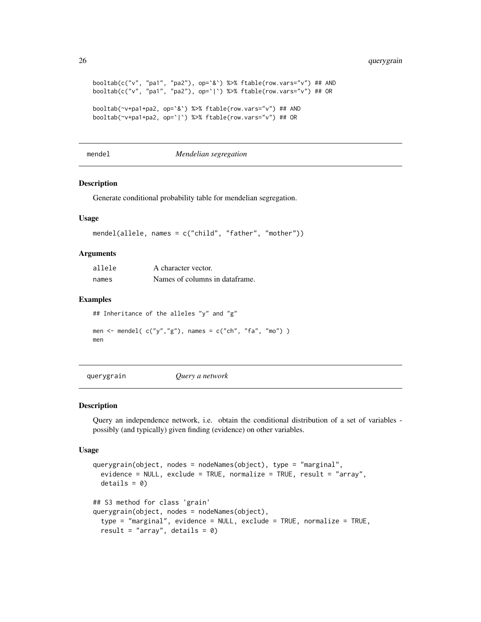```
booltab(c("v", "pa1", "pa2"), op=`&`) %>% ftable(row.vars="v") ## AND
booltab(c("v", "pa1", "pa2"), op=`|`) %>% ftable(row.vars="v") ## OR
booltab(~v+pa1+pa2, op=`&`) %>% ftable(row.vars="v") ## AND
booltab(~v+pa1+pa2, op=`|`) %>% ftable(row.vars="v") ## OR
```
#### mendel *Mendelian segregation*

### Description

Generate conditional probability table for mendelian segregation.

### Usage

```
mendel(allele, names = c("child", "father", "mother"))
```
## Arguments

| allele | A character vector.            |
|--------|--------------------------------|
| names  | Names of columns in dataframe. |

#### Examples

```
## Inheritance of the alleles "y" and "g"
men \le mendel( c("y", "g"), names = c("ch", "fa", "mo") )
men
```
<span id="page-25-1"></span>querygrain *Query a network*

#### **Description**

Query an independence network, i.e. obtain the conditional distribution of a set of variables possibly (and typically) given finding (evidence) on other variables.

#### Usage

```
querygrain(object, nodes = nodeNames(object), type = "marginal",
 evidence = NULL, exclude = TRUE, normalize = TRUE, result = "array",
 details = 0)## S3 method for class 'grain'
querygrain(object, nodes = nodeNames(object),
 type = "marginal", evidence = NULL, exclude = TRUE, normalize = TRUE,
  result = "array", details = 0)
```
<span id="page-25-0"></span>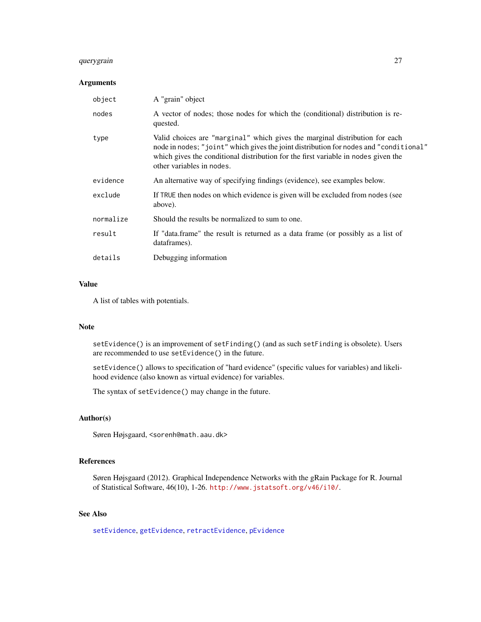# <span id="page-26-0"></span>querygrain 27

# Arguments

| object    | A "grain" object                                                                                                                                                                                                                                                                        |
|-----------|-----------------------------------------------------------------------------------------------------------------------------------------------------------------------------------------------------------------------------------------------------------------------------------------|
| nodes     | A vector of nodes; those nodes for which the (conditional) distribution is re-<br>quested.                                                                                                                                                                                              |
| type      | Valid choices are "marginal" which gives the marginal distribution for each<br>node in nodes; "joint" which gives the joint distribution for nodes and "conditional"<br>which gives the conditional distribution for the first variable in nodes given the<br>other variables in nodes. |
| evidence  | An alternative way of specifying findings (evidence), see examples below.                                                                                                                                                                                                               |
| exclude   | If TRUE then nodes on which evidence is given will be excluded from nodes (see<br>above).                                                                                                                                                                                               |
| normalize | Should the results be normalized to sum to one.                                                                                                                                                                                                                                         |
| result    | If "data.frame" the result is returned as a data frame (or possibly as a list of<br>dataframes).                                                                                                                                                                                        |
| details   | Debugging information                                                                                                                                                                                                                                                                   |

#### Value

A list of tables with potentials.

#### Note

setEvidence() is an improvement of setFinding() (and as such setFinding is obsolete). Users are recommended to use setEvidence() in the future.

setEvidence() allows to specification of "hard evidence" (specific values for variables) and likelihood evidence (also known as virtual evidence) for variables.

The syntax of setEvidence() may change in the future.

### Author(s)

Søren Højsgaard, <sorenh@math.aau.dk>

# References

Søren Højsgaard (2012). Graphical Independence Networks with the gRain Package for R. Journal of Statistical Software, 46(10), 1-26. <http://www.jstatsoft.org/v46/i10/>.

# See Also

[setEvidence](#page-13-1), [getEvidence](#page-10-1), [retractEvidence](#page-13-1), [pEvidence](#page-10-1)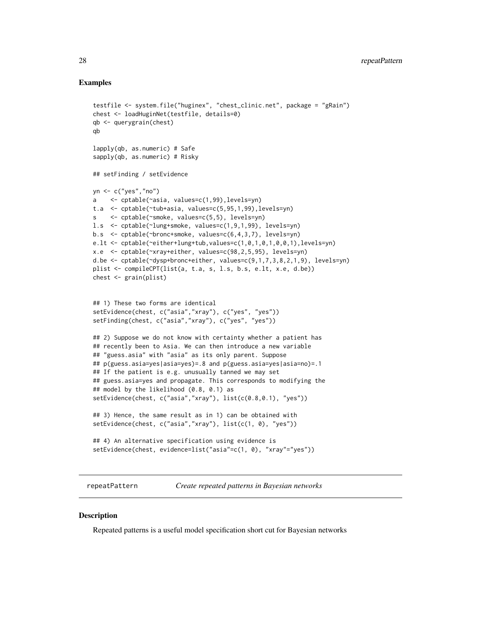#### Examples

```
testfile <- system.file("huginex", "chest_clinic.net", package = "gRain")
chest <- loadHuginNet(testfile, details=0)
qb <- querygrain(chest)
qb
lapply(qb, as.numeric) # Safe
sapply(qb, as.numeric) # Risky
## setFinding / setEvidence
yn <- c("yes","no")
a <- cptable(~asia, values=c(1,99),levels=yn)
t.a <- cptable(~tub+asia, values=c(5,95,1,99),levels=yn)
s <- cptable(~smoke, values=c(5,5), levels=yn)
l.s <- cptable(~lung+smoke, values=c(1,9,1,99), levels=yn)
b.s <- cptable(~bronc+smoke, values=c(6,4,3,7), levels=yn)
e.lt <- cptable(~either+lung+tub,values=c(1,0,1,0,1,0,0,1),levels=yn)
x.e <- cptable(~xray+either, values=c(98,2,5,95), levels=yn)
d.be <- cptable(~dysp+bronc+either, values=c(9,1,7,3,8,2,1,9), levels=yn)
plist <- compileCPT(list(a, t.a, s, l.s, b.s, e.lt, x.e, d.be))
chest <- grain(plist)
## 1) These two forms are identical
setEvidence(chest, c("asia","xray"), c("yes", "yes"))
setFinding(chest, c("asia","xray"), c("yes", "yes"))
## 2) Suppose we do not know with certainty whether a patient has
## recently been to Asia. We can then introduce a new variable
## "guess.asia" with "asia" as its only parent. Suppose
## p(guess.asia=yes|asia=yes)=.8 and p(guess.asia=yes|asia=no)=.1
## If the patient is e.g. unusually tanned we may set
## guess.asia=yes and propagate. This corresponds to modifying the
## model by the likelihood (0.8, 0.1) as
setEvidence(chest, c("asia","xray"), list(c(0.8,0.1), "yes"))
## 3) Hence, the same result as in 1) can be obtained with
setEvidence(chest, c("asia","xray"), list(c(1, 0), "yes"))
## 4) An alternative specification using evidence is
setEvidence(chest, evidence=list("asia"=c(1, 0), "xray"="yes"))
```
repeatPattern *Create repeated patterns in Bayesian networks*

#### Description

Repeated patterns is a useful model specification short cut for Bayesian networks

<span id="page-27-0"></span>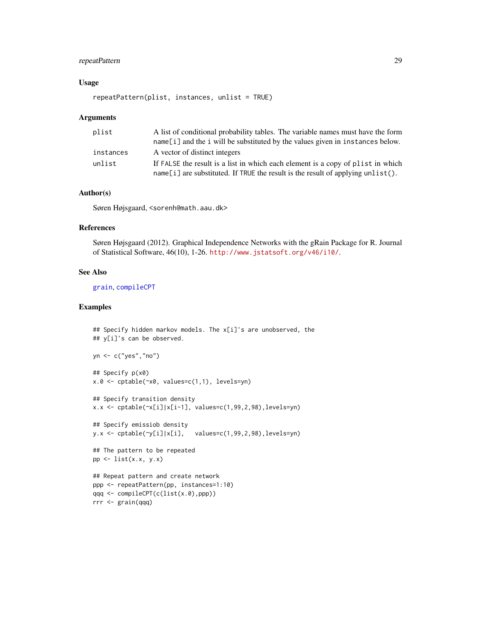# <span id="page-28-0"></span>repeatPattern 29

# Usage

```
repeatPattern(plist, instances, unlist = TRUE)
```
#### Arguments

| plist     | A list of conditional probability tables. The variable names must have the form   |
|-----------|-----------------------------------------------------------------------------------|
|           | $name[i]$ and the i will be substituted by the values given in instances below.   |
| instances | A vector of distinct integers                                                     |
| unlist    | If FALSE the result is a list in which each element is a copy of plist in which   |
|           | $name[i]$ are substituted. If TRUE the result is the result of applying unlist(). |

# Author(s)

Søren Højsgaard, <sorenh@math.aau.dk>

# References

Søren Højsgaard (2012). Graphical Independence Networks with the gRain Package for R. Journal of Statistical Software, 46(10), 1-26. <http://www.jstatsoft.org/v46/i10/>.

# See Also

[grain](#page-16-1), [compileCPT](#page-1-1)

```
## Specify hidden markov models. The x[i]'s are unobserved, the
## y[i]'s can be observed.
yn <- c("yes","no")
## Specify p(x0)
x.0 <- cptable(~x0, values=c(1,1), levels=yn)
## Specify transition density
x.x \leftarrow \text{cptable}(\sim x[i]/x[i-1], \text{ values}=c(1, 99, 2, 98), \text{levels}=yn)## Specify emissiob density
y.x <- cptable(~y[i]|x[i], values=c(1,99,2,98),levels=yn)
## The pattern to be repeated
pp \leftarrow list(x.x, y.x)## Repeat pattern and create network
ppp <- repeatPattern(pp, instances=1:10)
qqq <- compileCPT(c(list(x.0),ppp))
rrr <- grain(qqq)
```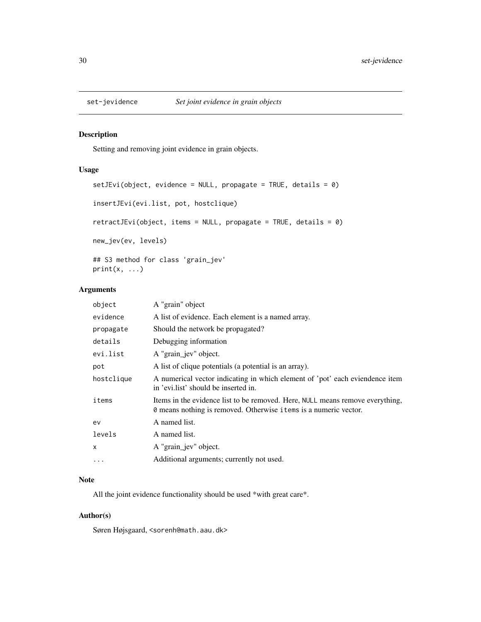<span id="page-29-0"></span>

# Description

Setting and removing joint evidence in grain objects.

# Usage

```
setJEvi(object, evidence = NULL, propagate = TRUE, details = 0)
insertJEvi(evi.list, pot, hostclique)
retractJEvi(object, items = NULL, propagate = TRUE, details = 0)
new_jev(ev, levels)
## S3 method for class 'grain_jev'
print(x, \ldots)
```
# Arguments

| object     | A "grain" object                                                                                                                                  |
|------------|---------------------------------------------------------------------------------------------------------------------------------------------------|
| evidence   | A list of evidence. Each element is a named array.                                                                                                |
| propagate  | Should the network be propagated?                                                                                                                 |
| details    | Debugging information                                                                                                                             |
| evi.list   | A "grain_jev" object.                                                                                                                             |
| pot        | A list of clique potentials (a potential is an array).                                                                                            |
| hostclique | A numerical vector indicating in which element of 'pot' each eviendence item<br>in 'evilist' should be inserted in.                               |
| items      | Items in the evidence list to be removed. Here, NULL means remove everything,<br>0 means nothing is removed. Otherwise items is a numeric vector. |
| ev         | A named list.                                                                                                                                     |
| levels     | A named list.                                                                                                                                     |
| x          | A "grain jev" object.                                                                                                                             |
| $\cdot$    | Additional arguments; currently not used.                                                                                                         |
|            |                                                                                                                                                   |

# Note

All the joint evidence functionality should be used \*with great care\*.

# Author(s)

Søren Højsgaard, <sorenh@math.aau.dk>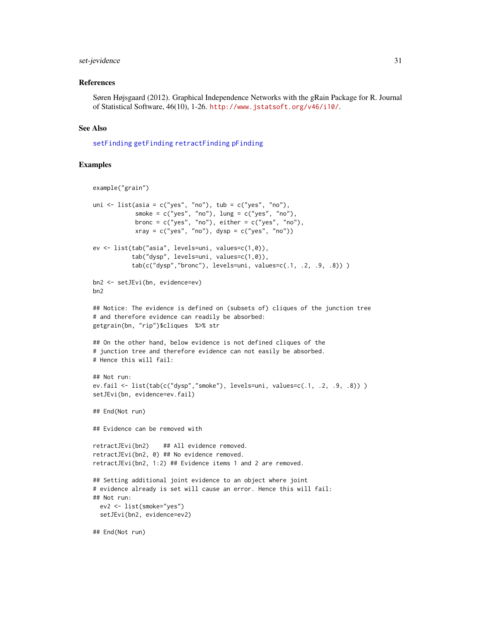# <span id="page-30-0"></span>set-jevidence 31

#### References

Søren Højsgaard (2012). Graphical Independence Networks with the gRain Package for R. Journal of Statistical Software, 46(10), 1-26. <http://www.jstatsoft.org/v46/i10/>.

#### See Also

[setFinding](#page-7-1) [getFinding](#page-7-1) [retractFinding](#page-7-1) [pFinding](#page-7-1)

```
example("grain")
uni \le list(asia = c("yes", "no"), tub = c("yes", "no"),
            smoke = c("yes", "no"), lung = c("yes", "no"),
            bronc = c("yes", "no"), either = c("yes", "no"),
            xray = c("yes", "no"), dysp = c("yes", "no")ev <- list(tab("asia", levels=uni, values=c(1,0)),
           tab("dysp", levels=uni, values=c(1,0)),
           tab(c("dysp","bronc"), levels=uni, values=c(.1, .2, .9, .8)) )
bn2 <- setJEvi(bn, evidence=ev)
bn2
## Notice: The evidence is defined on (subsets of) cliques of the junction tree
# and therefore evidence can readily be absorbed:
getgrain(bn, "rip")$cliques %>% str
## On the other hand, below evidence is not defined cliques of the
# junction tree and therefore evidence can not easily be absorbed.
# Hence this will fail:
## Not run:
ev.fail <- list(tab(c("dysp","smoke"), levels=uni, values=c(.1, .2, .9, .8)) )
setJEvi(bn, evidence=ev.fail)
## End(Not run)
## Evidence can be removed with
retractJEvi(bn2) ## All evidence removed.
retractJEvi(bn2, 0) ## No evidence removed.
retractJEvi(bn2, 1:2) ## Evidence items 1 and 2 are removed.
## Setting additional joint evidence to an object where joint
# evidence already is set will cause an error. Hence this will fail:
## Not run:
  ev2 <- list(smoke="yes")
  setJEvi(bn2, evidence=ev2)
## End(Not run)
```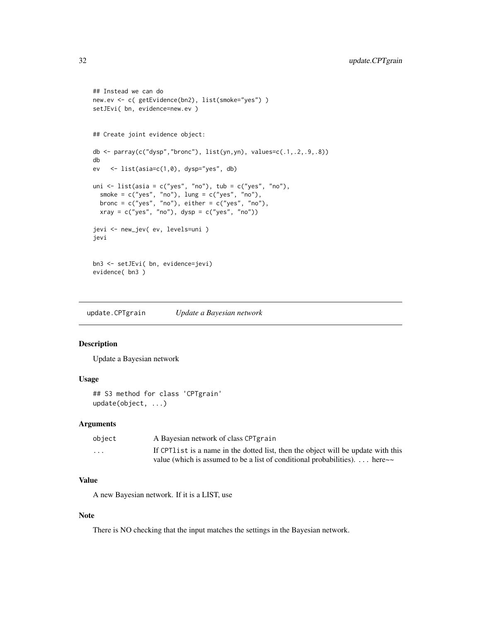```
## Instead we can do
new.ev <- c( getEvidence(bn2), list(smoke="yes") )
setJEvi( bn, evidence=new.ev )
## Create joint evidence object:
db \leq parray(c("dysp","bronc"), list(yn,yn), values=c(.1,.2,.9,.8))
db
ev <- list(asia=c(1,0), dysp="yes", db)
uni \le list(asia = c("yes", "no"), tub = c("yes", "no"),
  smoke = c("yes", "no"), lung = c("yes", "no"),bronc = c("yes", "no"), either = c("yes", "no"),
  xray = c("yes", "no"), dysp = c("yes", "no"))jevi <- new_jev( ev, levels=uni )
jevi
bn3 <- setJEvi( bn, evidence=jevi)
evidence( bn3 )
```
update.CPTgrain *Update a Bayesian network*

# Description

Update a Bayesian network

### Usage

```
## S3 method for class 'CPTgrain'
update(object, ...)
```
#### Arguments

| object                  | A Bayesian network of class CPT grain                                              |
|-------------------------|------------------------------------------------------------------------------------|
| $\cdot$ $\cdot$ $\cdot$ | If CPT list is a name in the dotted list, then the object will be update with this |
|                         | value (which is assumed to be a list of conditional probabilities).  here $\sim$   |

# Value

A new Bayesian network. If it is a LIST, use

### Note

There is NO checking that the input matches the settings in the Bayesian network.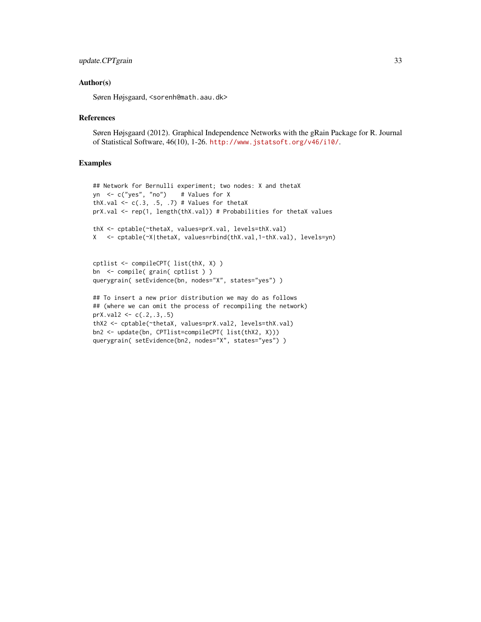#### Author(s)

Søren Højsgaard, <sorenh@math.aau.dk>

#### References

Søren Højsgaard (2012). Graphical Independence Networks with the gRain Package for R. Journal of Statistical Software, 46(10), 1-26. <http://www.jstatsoft.org/v46/i10/>.

```
## Network for Bernulli experiment; two nodes: X and thetaX
yn <- c("yes", "no") # Values for X
thX.val \leq c(.3, .5, .7) # Values for thetaX
prX.val <- rep(1, length(thX.val)) # Probabilities for thetaX values
thX <- cptable(~thetaX, values=prX.val, levels=thX.val)
X <- cptable(~X|thetaX, values=rbind(thX.val,1-thX.val), levels=yn)
cptlist <- compileCPT( list(thX, X) )
bn <- compile( grain( cptlist ) )
querygrain( setEvidence(bn, nodes="X", states="yes") )
## To insert a new prior distribution we may do as follows
## (where we can omit the process of recompiling the network)
prX.val2 <- c(.2,.3,.5)thX2 <- cptable(~thetaX, values=prX.val2, levels=thX.val)
bn2 <- update(bn, CPTlist=compileCPT( list(thX2, X)))
querygrain( setEvidence(bn2, nodes="X", states="yes") )
```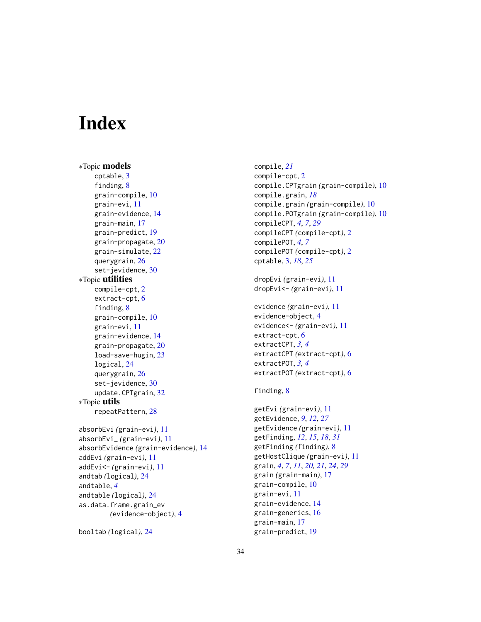# <span id="page-33-0"></span>**Index**

∗Topic models cptable, [3](#page-2-0) finding, [8](#page-7-0) grain-compile, [10](#page-9-0) grain-evi, [11](#page-10-0) grain-evidence, [14](#page-13-0) grain-main, [17](#page-16-0) grain-predict, [19](#page-18-0) grain-propagate, [20](#page-19-0) grain-simulate, [22](#page-21-0) querygrain, [26](#page-25-0) set-jevidence, [30](#page-29-0) ∗Topic utilities compile-cpt, [2](#page-1-0) extract-cpt, [6](#page-5-0) finding, [8](#page-7-0) grain-compile, [10](#page-9-0) grain-evi, [11](#page-10-0) grain-evidence, [14](#page-13-0) grain-propagate, [20](#page-19-0) load-save-hugin, [23](#page-22-0) logical, [24](#page-23-0) querygrain, [26](#page-25-0) set-jevidence, [30](#page-29-0) update.CPTgrain, [32](#page-31-0) ∗Topic utils repeatPattern, [28](#page-27-0) absorbEvi *(*grain-evi*)*, [11](#page-10-0) absorbEvi\_ *(*grain-evi*)*, [11](#page-10-0) absorbEvidence *(*grain-evidence*)*, [14](#page-13-0) addEvi *(*grain-evi*)*, [11](#page-10-0) addEvi<- *(*grain-evi*)*, [11](#page-10-0) andtab *(*logical*)*, [24](#page-23-0) andtable, *[4](#page-3-0)* andtable *(*logical*)*, [24](#page-23-0) as.data.frame.grain\_ev *(*evidence-object*)*, [4](#page-3-0)

```
booltab (logical), 24
```
compile, *[21](#page-20-0)* compile-cpt, [2](#page-1-0) compile.CPTgrain *(*grain-compile*)*, [10](#page-9-0) compile.grain, *[18](#page-17-0)* compile.grain *(*grain-compile*)*, [10](#page-9-0) compile.POTgrain *(*grain-compile*)*, [10](#page-9-0) compileCPT, *[4](#page-3-0)*, *[7](#page-6-0)*, *[29](#page-28-0)* compileCPT *(*compile-cpt*)*, [2](#page-1-0) compilePOT, *[4](#page-3-0)*, *[7](#page-6-0)* compilePOT *(*compile-cpt*)*, [2](#page-1-0) cptable, [3,](#page-2-0) *[18](#page-17-0)*, *[25](#page-24-0)*

```
dropEvi (grain-evi), 11
dropEvi<- (grain-evi), 11
```

```
evidence (grain-evi), 11
evidence-object, 4
evidence<- (grain-evi), 11
extract-cpt, 6
extractCPT, 3, 4
extractCPT (extract-cpt), 6
extractPOT, 3, 4
extractPOT (extract-cpt), 6
```
# finding, [8](#page-7-0)

```
getEvi (grain-evi), 11
getEvidence, 9, 12, 27
getEvidence (grain-evi), 11
getFinding, 12, 15, 18, 31
getFinding (finding), 8
getHostClique (grain-evi), 11
grain, 4, 7, 11, 20, 21, 24, 29
grain (grain-main), 17
grain-compile, 10
grain-evi, 11
grain-evidence, 14
grain-generics, 16
grain-main, 17
grain-predict, 19
```